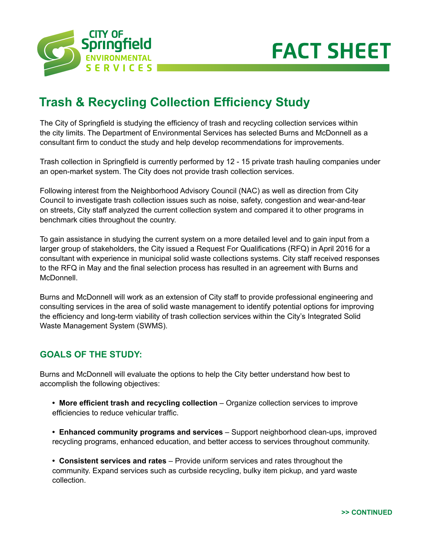



# **Trash & Recycling Collection Efficiency Study**

The City of Springfield is studying the efficiency of trash and recycling collection services within the city limits. The Department of Environmental Services has selected Burns and McDonnell as a consultant firm to conduct the study and help develop recommendations for improvements.

Trash collection in Springfield is currently performed by 12 - 15 private trash hauling companies under an open-market system. The City does not provide trash collection services.

Following interest from the Neighborhood Advisory Council (NAC) as well as direction from City Council to investigate trash collection issues such as noise, safety, congestion and wear-and-tear on streets, City staff analyzed the current collection system and compared it to other programs in benchmark cities throughout the country.

To gain assistance in studying the current system on a more detailed level and to gain input from a larger group of stakeholders, the City issued a Request For Qualifications (RFQ) in April 2016 for a consultant with experience in municipal solid waste collections systems. City staff received responses to the RFQ in May and the final selection process has resulted in an agreement with Burns and McDonnell.

Burns and McDonnell will work as an extension of City staff to provide professional engineering and consulting services in the area of solid waste management to identify potential options for improving the efficiency and long-term viability of trash collection services within the City's Integrated Solid Waste Management System (SWMS).

## **GOALS OF THE STUDY:**

Burns and McDonnell will evaluate the options to help the City better understand how best to accomplish the following objectives:

- **More efficient trash and recycling collection** Organize collection services to improve efficiencies to reduce vehicular traffic.
- **Enhanced community programs and services** Support neighborhood clean-ups, improved recycling programs, enhanced education, and better access to services throughout community.

**• Consistent services and rates** – Provide uniform services and rates throughout the community. Expand services such as curbside recycling, bulky item pickup, and yard waste collection.